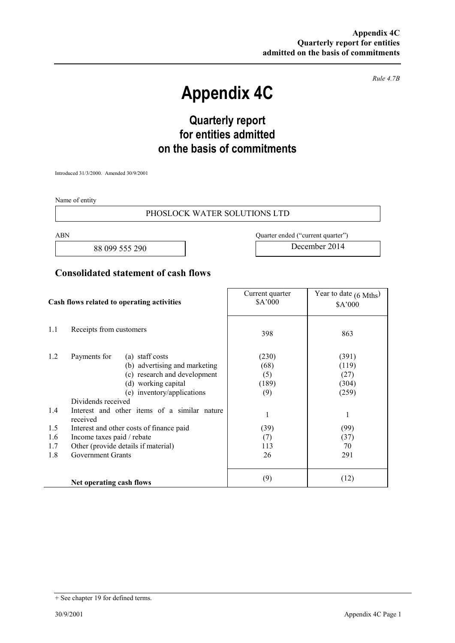*Rule 4.7B* 

# **Appendix 4C**

# **Quarterly report for entities admitted on the basis of commitments**

Introduced 31/3/2000. Amended 30/9/2001

Name of entity

#### PHOSLOCK WATER SOLUTIONS LTD

88 099 555 290 December 2014

ABN Quarter ended ("current quarter")

### **Consolidated statement of cash flows**

| Cash flows related to operating activities |                                                                                                                                                                             | Current quarter<br>\$A'000           | Year to date $(6 \text{ Mths})$<br>\$A'000 |
|--------------------------------------------|-----------------------------------------------------------------------------------------------------------------------------------------------------------------------------|--------------------------------------|--------------------------------------------|
| 1.1                                        | Receipts from customers                                                                                                                                                     | 398                                  | 863                                        |
| 1.2                                        | Payments for<br>(a) staff costs<br>(b) advertising and marketing<br>(c) research and development<br>(d) working capital<br>(e) inventory/applications<br>Dividends received | (230)<br>(68)<br>(5)<br>(189)<br>(9) | (391)<br>(119)<br>(27)<br>(304)<br>(259)   |
| 1.4                                        | Interest and other items of a similar nature<br>received                                                                                                                    | 1                                    | 1                                          |
| 1.5                                        | Interest and other costs of finance paid                                                                                                                                    | (39)                                 | (99)                                       |
| 1.6                                        | Income taxes paid / rebate                                                                                                                                                  | (7)                                  | (37)                                       |
| 1.7                                        | Other (provide details if material)                                                                                                                                         | 113                                  | 70                                         |
| 1.8                                        | <b>Government Grants</b>                                                                                                                                                    | 26                                   | 291                                        |
|                                            | Net operating cash flows                                                                                                                                                    | (9)                                  | (12)                                       |

<sup>+</sup> See chapter 19 for defined terms.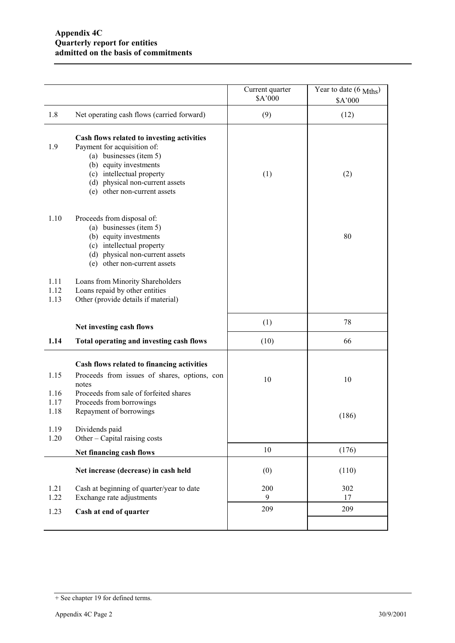|                                      |                                                                                                                                                                                                                                | Current quarter<br>\$A'000 | Year to date $(6 \text{ Mths})$<br>\$A'000 |
|--------------------------------------|--------------------------------------------------------------------------------------------------------------------------------------------------------------------------------------------------------------------------------|----------------------------|--------------------------------------------|
| 1.8                                  | Net operating cash flows (carried forward)                                                                                                                                                                                     | (9)                        | (12)                                       |
| 1.9                                  | Cash flows related to investing activities<br>Payment for acquisition of:<br>(a) businesses (item 5)<br>(b) equity investments<br>(c) intellectual property<br>(d) physical non-current assets<br>(e) other non-current assets | (1)                        | (2)                                        |
| 1.10                                 | Proceeds from disposal of:<br>(a) businesses (item 5)<br>(b) equity investments<br>(c) intellectual property<br>(d) physical non-current assets<br>(e) other non-current assets                                                |                            | 80                                         |
| 1.11<br>1.12<br>1.13                 | Loans from Minority Shareholders<br>Loans repaid by other entities<br>Other (provide details if material)                                                                                                                      |                            |                                            |
|                                      | Net investing cash flows                                                                                                                                                                                                       | (1)                        | 78                                         |
| 1.14                                 | Total operating and investing cash flows                                                                                                                                                                                       | (10)                       | 66                                         |
| 1.15<br>1.16<br>1.17<br>1.18<br>1.19 | Cash flows related to financing activities<br>Proceeds from issues of shares, options, con<br>notes<br>Proceeds from sale of forfeited shares<br>Proceeds from borrowings<br>Repayment of borrowings<br>Dividends paid         | 10                         | 10<br>(186)                                |
| 1.20                                 | Other – Capital raising costs                                                                                                                                                                                                  |                            |                                            |
|                                      | Net financing cash flows                                                                                                                                                                                                       | 10                         | (176)                                      |
|                                      | Net increase (decrease) in cash held                                                                                                                                                                                           | (0)                        | (110)                                      |
| 1.21<br>1.22                         | Cash at beginning of quarter/year to date<br>Exchange rate adjustments                                                                                                                                                         | 200<br>9                   | 302<br>17                                  |
| 1.23                                 | Cash at end of quarter                                                                                                                                                                                                         | 209                        | 209                                        |
|                                      |                                                                                                                                                                                                                                |                            |                                            |

<sup>+</sup> See chapter 19 for defined terms.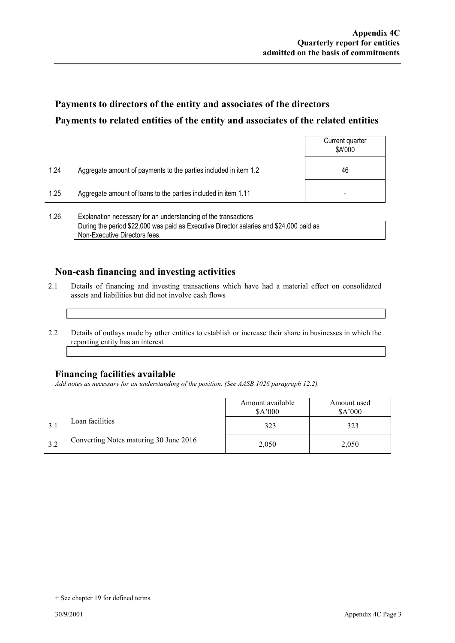## **Payments to directors of the entity and associates of the directors Payments to related entities of the entity and associates of the related entities**

|        |                                                                  | Current quarter<br>\$A'000 |
|--------|------------------------------------------------------------------|----------------------------|
| 1.24   | Aggregate amount of payments to the parties included in item 1.2 | 46                         |
| 1.25   | Aggregate amount of loans to the parties included in item 1.11   | -                          |
| $\sim$ | $\overline{\phantom{0}}$                                         |                            |

1.26 Explanation necessary for an understanding of the transactions During the period \$22,000 was paid as Executive Director salaries and \$24,000 paid as Non-Executive Directors fees.

### **Non-cash financing and investing activities**

- 2.1 Details of financing and investing transactions which have had a material effect on consolidated assets and liabilities but did not involve cash flows
- 2.2 Details of outlays made by other entities to establish or increase their share in businesses in which the reporting entity has an interest

#### **Financing facilities available**

*Add notes as necessary for an understanding of the position. (See AASB 1026 paragraph 12.2).* 

|     |                                        | Amount available<br>\$A'000 | Amount used<br>\$A'000 |
|-----|----------------------------------------|-----------------------------|------------------------|
|     | Loan facilities                        | 323                         | 323                    |
| 3.2 | Converting Notes maturing 30 June 2016 | 2,050                       | 2,050                  |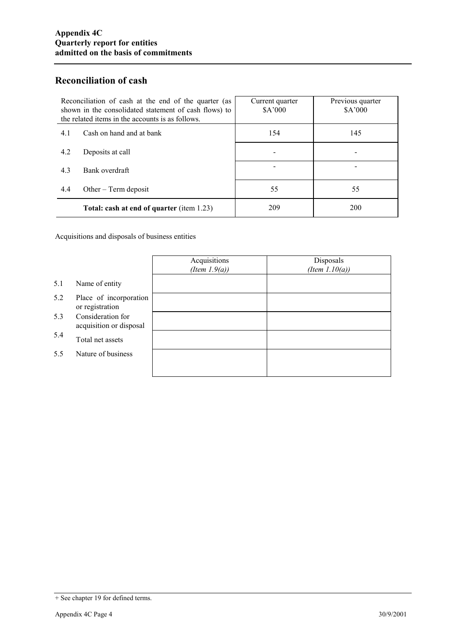### **Reconciliation of cash**

| Reconciliation of cash at the end of the quarter (as<br>shown in the consolidated statement of cash flows) to<br>the related items in the accounts is as follows. | Current quarter<br>\$A'000 | Previous quarter<br>\$A'000 |
|-------------------------------------------------------------------------------------------------------------------------------------------------------------------|----------------------------|-----------------------------|
| Cash on hand and at bank<br>4.1                                                                                                                                   | 154                        | 145                         |
| 4.2<br>Deposits at call                                                                                                                                           |                            |                             |
| 4.3<br>Bank overdraft                                                                                                                                             |                            |                             |
| 4.4<br>Other $-$ Term deposit                                                                                                                                     | 55                         | 55                          |
| <b>Total: cash at end of quarter (item 1.23)</b>                                                                                                                  | 209                        | 200                         |

Acquisitions and disposals of business entities

|     |                                              | Acquisitions<br>(Item $1.9(a)$ ) | Disposals<br>(Item $1.10(a)$ ) |
|-----|----------------------------------------------|----------------------------------|--------------------------------|
| 5.1 | Name of entity                               |                                  |                                |
| 5.2 | Place of incorporation<br>or registration    |                                  |                                |
| 5.3 | Consideration for<br>acquisition or disposal |                                  |                                |
| 5.4 | Total net assets                             |                                  |                                |
| 5.5 | Nature of business                           |                                  |                                |
|     |                                              |                                  |                                |

<sup>+</sup> See chapter 19 for defined terms.